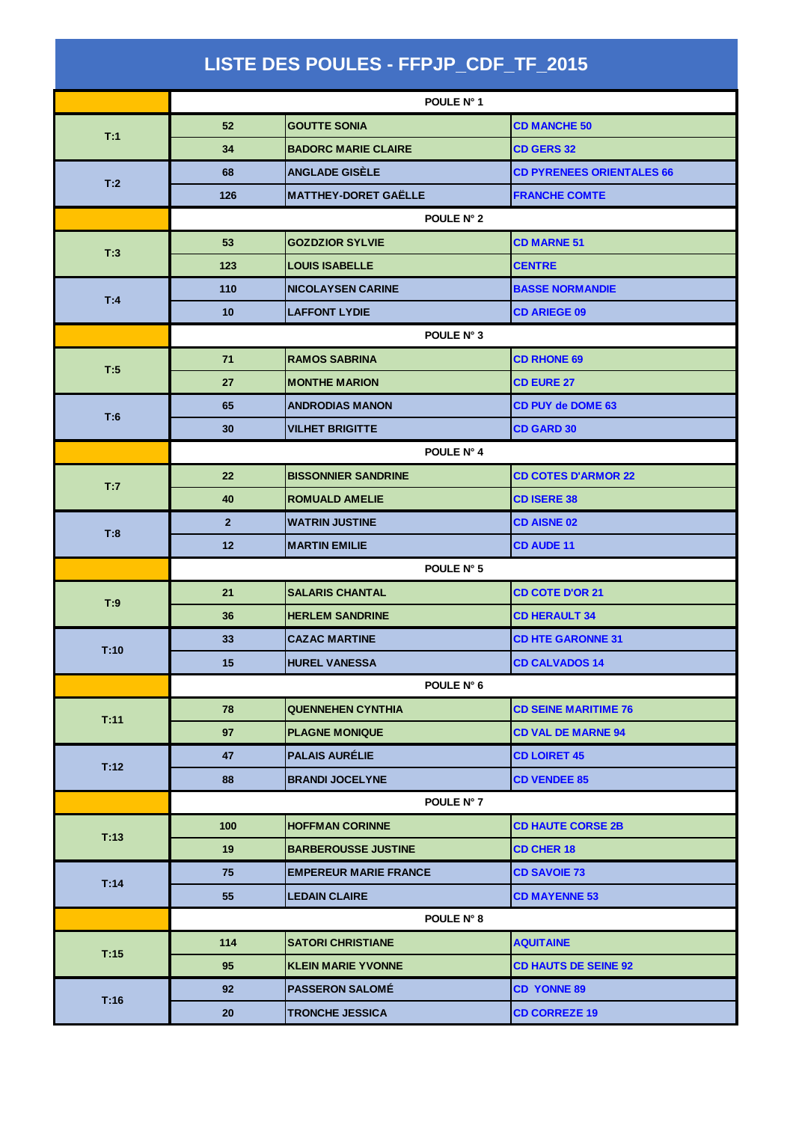| LISTE DES POULES - FFPJP_CDF_TF_2015 |                |                              |                                  |  |  |
|--------------------------------------|----------------|------------------------------|----------------------------------|--|--|
|                                      |                | POULE N° 1                   |                                  |  |  |
| T:1                                  | 52             | <b>GOUTTE SONIA</b>          | <b>CD MANCHE 50</b>              |  |  |
|                                      | 34             | <b>BADORC MARIE CLAIRE</b>   | <b>CD GERS 32</b>                |  |  |
|                                      | 68             | <b>ANGLADE GISÈLE</b>        | <b>CD PYRENEES ORIENTALES 66</b> |  |  |
| T:2                                  | 126            | <b>MATTHEY-DORET GAËLLE</b>  | <b>FRANCHE COMTE</b>             |  |  |
|                                      | POULE N° 2     |                              |                                  |  |  |
|                                      | 53             | <b>GOZDZIOR SYLVIE</b>       | <b>CD MARNE 51</b>               |  |  |
| T:3                                  | 123            | <b>LOUIS ISABELLE</b>        | <b>CENTRE</b>                    |  |  |
| T:4                                  | 110            | <b>NICOLAYSEN CARINE</b>     | <b>BASSE NORMANDIE</b>           |  |  |
|                                      | 10             | <b>LAFFONT LYDIE</b>         | <b>CD ARIEGE 09</b>              |  |  |
|                                      | POULE N° 3     |                              |                                  |  |  |
| T:5                                  | 71             | <b>RAMOS SABRINA</b>         | <b>CD RHONE 69</b>               |  |  |
|                                      | 27             | <b>MONTHE MARION</b>         | <b>CD EURE 27</b>                |  |  |
| T:6                                  | 65             | <b>ANDRODIAS MANON</b>       | <b>CD PUY de DOME 63</b>         |  |  |
|                                      | 30             | <b>VILHET BRIGITTE</b>       | <b>CD GARD 30</b>                |  |  |
|                                      |                | POULE N° 4                   |                                  |  |  |
| T:7                                  | 22             | <b>BISSONNIER SANDRINE</b>   | <b>CD COTES D'ARMOR 22</b>       |  |  |
|                                      | 40             | <b>ROMUALD AMELIE</b>        | <b>CD ISERE 38</b>               |  |  |
| T:8                                  | $\overline{2}$ | <b>WATRIN JUSTINE</b>        | <b>CD AISNE 02</b>               |  |  |
|                                      | 12             | <b>MARTIN EMILIE</b>         | <b>CD AUDE 11</b>                |  |  |
|                                      | POULE N° 5     |                              |                                  |  |  |
| T:9                                  | 21             | <b>SALARIS CHANTAL</b>       | <b>CD COTE D'OR 21</b>           |  |  |
|                                      | 36             | <b>HERLEM SANDRINE</b>       | <b>CD HERAULT 34</b>             |  |  |
| T:10                                 | 33             | <b>CAZAC MARTINE</b>         | <b>CD HTE GARONNE 31</b>         |  |  |
|                                      | 15             | <b>HUREL VANESSA</b>         | <b>CD CALVADOS 14</b>            |  |  |
|                                      |                | POULE N° 6                   |                                  |  |  |
| T:11                                 | 78             | <b>QUENNEHEN CYNTHIA</b>     | <b>CD SEINE MARITIME 76</b>      |  |  |
|                                      | 97             | <b>PLAGNE MONIQUE</b>        | <b>CD VAL DE MARNE 94</b>        |  |  |
| T:12                                 | 47             | <b>PALAIS AURÉLIE</b>        | <b>CD LOIRET 45</b>              |  |  |
|                                      | 88             | <b>BRANDI JOCELYNE</b>       | <b>CD VENDEE 85</b>              |  |  |
|                                      |                | POULE N° 7                   |                                  |  |  |
| T:13                                 | 100            | <b>HOFFMAN CORINNE</b>       | <b>CD HAUTE CORSE 2B</b>         |  |  |
|                                      | 19             | <b>BARBEROUSSE JUSTINE</b>   | <b>CD CHER 18</b>                |  |  |
| T:14                                 | 75             | <b>EMPEREUR MARIE FRANCE</b> | <b>CD SAVOIE 73</b>              |  |  |
|                                      | 55             | <b>LEDAIN CLAIRE</b>         | <b>CD MAYENNE 53</b>             |  |  |
|                                      |                | POULE N° 8                   |                                  |  |  |
| T:15                                 | 114            | <b>SATORI CHRISTIANE</b>     | <b>AQUITAINE</b>                 |  |  |
|                                      | 95             | <b>KLEIN MARIE YVONNE</b>    | <b>CD HAUTS DE SEINE 92</b>      |  |  |
| T:16                                 | 92             | <b>PASSERON SALOMÉ</b>       | <b>CD YONNE 89</b>               |  |  |
|                                      | 20             | <b>TRONCHE JESSICA</b>       | <b>CD CORREZE 19</b>             |  |  |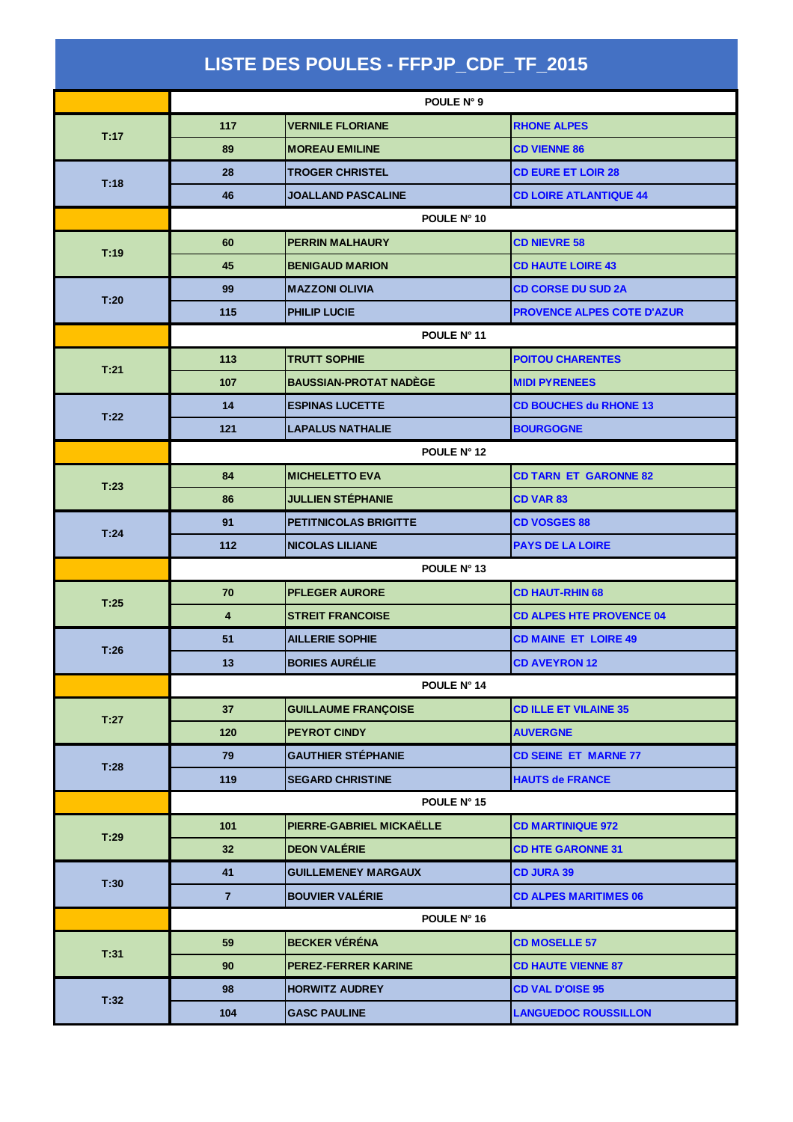| LISTE DES POULES - FFPJP_CDF_TF_2015 |                |                               |                                   |  |  |
|--------------------------------------|----------------|-------------------------------|-----------------------------------|--|--|
|                                      | POULE N° 9     |                               |                                   |  |  |
| T:17                                 | 117            | <b>VERNILE FLORIANE</b>       | <b>RHONE ALPES</b>                |  |  |
|                                      | 89             | <b>MOREAU EMILINE</b>         | <b>CD VIENNE 86</b>               |  |  |
| T:18                                 | 28             | <b>TROGER CHRISTEL</b>        | <b>CD EURE ET LOIR 28</b>         |  |  |
|                                      | 46             | <b>JOALLAND PASCALINE</b>     | <b>CD LOIRE ATLANTIQUE 44</b>     |  |  |
|                                      | POULE N° 10    |                               |                                   |  |  |
|                                      | 60             | <b>PERRIN MALHAURY</b>        | <b>CD NIEVRE 58</b>               |  |  |
| T:19                                 | 45             | <b>BENIGAUD MARION</b>        | <b>CD HAUTE LOIRE 43</b>          |  |  |
| T:20                                 | 99             | <b>MAZZONI OLIVIA</b>         | <b>CD CORSE DU SUD 2A</b>         |  |  |
|                                      | 115            | <b>PHILIP LUCIE</b>           | <b>PROVENCE ALPES COTE D'AZUR</b> |  |  |
|                                      | POULE N° 11    |                               |                                   |  |  |
| T:21                                 | 113            | <b>TRUTT SOPHIE</b>           | <b>POITOU CHARENTES</b>           |  |  |
|                                      | 107            | <b>BAUSSIAN-PROTAT NADEGE</b> | <b>MIDI PYRENEES</b>              |  |  |
| T:22                                 | 14             | <b>ESPINAS LUCETTE</b>        | <b>CD BOUCHES du RHONE 13</b>     |  |  |
|                                      | 121            | <b>LAPALUS NATHALIE</b>       | <b>BOURGOGNE</b>                  |  |  |
|                                      | POULE N° 12    |                               |                                   |  |  |
| T:23                                 | 84             | <b>MICHELETTO EVA</b>         | <b>CD TARN ET GARONNE 82</b>      |  |  |
|                                      | 86             | <b>JULLIEN STÉPHANIE</b>      | CD VAR 83                         |  |  |
| T:24                                 | 91             | <b>PETITNICOLAS BRIGITTE</b>  | <b>CD VOSGES 88</b>               |  |  |
|                                      | 112            | <b>NICOLAS LILIANE</b>        | <b>PAYS DE LA LOIRE</b>           |  |  |
|                                      | POULE N° 13    |                               |                                   |  |  |
| T:25                                 | 70             | <b>PFLEGER AURORE</b>         | <b>CD HAUT-RHIN 68</b>            |  |  |
|                                      | 4              | <b>STREIT FRANCOISE</b>       | <b>CD ALPES HTE PROVENCE 04</b>   |  |  |
| T:26                                 | 51             | <b>AILLERIE SOPHIE</b>        | <b>CD MAINE ET LOIRE 49</b>       |  |  |
|                                      | 13             | <b>BORIES AURÉLIE</b>         | <b>CD AVEYRON 12</b>              |  |  |
|                                      |                | POULE Nº 14                   |                                   |  |  |
| T:27                                 | 37             | <b>GUILLAUME FRANÇOISE</b>    | <b>CD ILLE ET VILAINE 35</b>      |  |  |
|                                      | 120            | <b>PEYROT CINDY</b>           | <b>AUVERGNE</b>                   |  |  |
| T:28                                 | 79             | <b>GAUTHIER STÉPHANIE</b>     | <b>CD SEINE ET MARNE 77</b>       |  |  |
|                                      | 119            | <b>SEGARD CHRISTINE</b>       | <b>HAUTS de FRANCE</b>            |  |  |
|                                      |                | POULE N° 15                   |                                   |  |  |
| T:29                                 | 101            | PIERRE-GABRIEL MICKAËLLE      | <b>CD MARTINIQUE 972</b>          |  |  |
|                                      | 32             | <b>DEON VALÉRIE</b>           | <b>CD HTE GARONNE 31</b>          |  |  |
|                                      | 41             | <b>GUILLEMENEY MARGAUX</b>    | <b>CD JURA 39</b>                 |  |  |
| T:30                                 | $\overline{7}$ | <b>BOUVIER VALÉRIE</b>        | <b>CD ALPES MARITIMES 06</b>      |  |  |
|                                      |                | POULE N° 16                   |                                   |  |  |
| T:31                                 | 59             | <b>BECKER VÉRÉNA</b>          | <b>CD MOSELLE 57</b>              |  |  |
|                                      | 90             | <b>PEREZ-FERRER KARINE</b>    | <b>CD HAUTE VIENNE 87</b>         |  |  |
| T:32                                 | 98             | <b>HORWITZ AUDREY</b>         | <b>CD VAL D'OISE 95</b>           |  |  |
|                                      | 104            | <b>GASC PAULINE</b>           | <b>LANGUEDOC ROUSSILLON</b>       |  |  |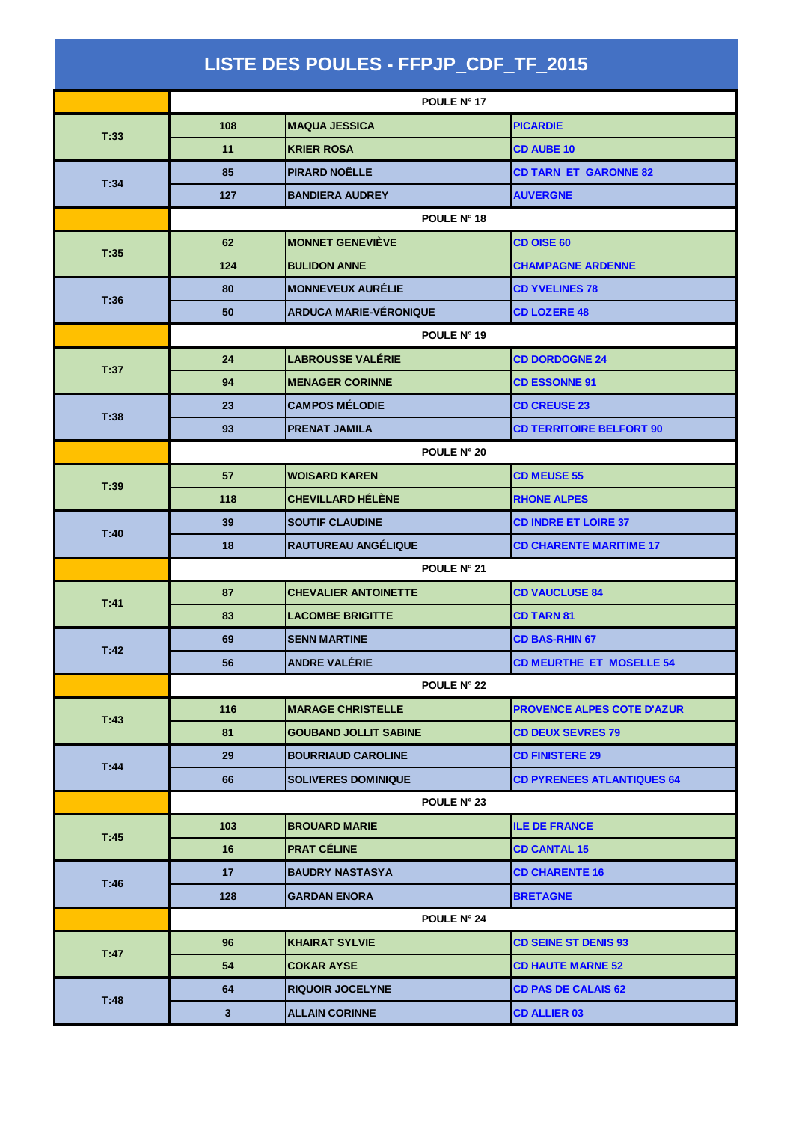| LISTE DES POULES - FFPJP_CDF_TF_2015 |                 |                               |                                   |  |  |
|--------------------------------------|-----------------|-------------------------------|-----------------------------------|--|--|
|                                      |                 | POULE N° 17                   |                                   |  |  |
| T:33                                 | 108             | <b>MAQUA JESSICA</b>          | <b>PICARDIE</b>                   |  |  |
|                                      | 11              | <b>KRIER ROSA</b>             | <b>CD AUBE 10</b>                 |  |  |
|                                      | 85              | <b>PIRARD NOËLLE</b>          | <b>CD TARN ET GARONNE 82</b>      |  |  |
| T:34                                 | 127             | <b>BANDIERA AUDREY</b>        | <b>AUVERGNE</b>                   |  |  |
|                                      | POULE N° 18     |                               |                                   |  |  |
|                                      | 62              | <b>MONNET GENEVIÈVE</b>       | <b>CD OISE 60</b>                 |  |  |
| T:35                                 | 124             | <b>BULIDON ANNE</b>           | <b>CHAMPAGNE ARDENNE</b>          |  |  |
|                                      | 80              | <b>MONNEVEUX AURÉLIE</b>      | <b>CD YVELINES 78</b>             |  |  |
| T:36                                 | 50              | <b>ARDUCA MARIE-VÉRONIQUE</b> | <b>CD LOZERE 48</b>               |  |  |
|                                      | POULE N° 19     |                               |                                   |  |  |
| T:37                                 | 24              | <b>LABROUSSE VALÉRIE</b>      | <b>CD DORDOGNE 24</b>             |  |  |
|                                      | 94              | <b>MENAGER CORINNE</b>        | <b>CD ESSONNE 91</b>              |  |  |
| T:38                                 | 23              | <b>CAMPOS MÉLODIE</b>         | <b>CD CREUSE 23</b>               |  |  |
|                                      | 93              | <b>PRENAT JAMILA</b>          | <b>CD TERRITOIRE BELFORT 90</b>   |  |  |
|                                      |                 | POULE N° 20                   |                                   |  |  |
| T:39                                 | 57              | <b>WOISARD KAREN</b>          | <b>CD MEUSE 55</b>                |  |  |
|                                      | 118             | <b>CHEVILLARD HÉLÈNE</b>      | <b>RHONE ALPES</b>                |  |  |
| T:40                                 | 39              | <b>SOUTIF CLAUDINE</b>        | <b>CD INDRE ET LOIRE 37</b>       |  |  |
|                                      | 18              | RAUTUREAU ANGÉLIQUE           | <b>CD CHARENTE MARITIME 17</b>    |  |  |
|                                      | POULE N° 21     |                               |                                   |  |  |
| T:41                                 | 87              | <b>CHEVALIER ANTOINETTE</b>   | <b>CD VAUCLUSE 84</b>             |  |  |
|                                      | 83              | <b>LACOMBE BRIGITTE</b>       | <b>CD TARN 81</b>                 |  |  |
| T:42                                 | 69              | <b>SENN MARTINE</b>           | <b>CD BAS-RHIN 67</b>             |  |  |
|                                      | 56              | <b>ANDRE VALÉRIE</b>          | <b>CD MEURTHE ET MOSELLE 54</b>   |  |  |
|                                      | POULE N° 22     |                               |                                   |  |  |
| T:43                                 | 116             | <b>MARAGE CHRISTELLE</b>      | <b>PROVENCE ALPES COTE D'AZUR</b> |  |  |
|                                      | 81              | <b>GOUBAND JOLLIT SABINE</b>  | <b>CD DEUX SEVRES 79</b>          |  |  |
| T:44                                 | 29              | <b>BOURRIAUD CAROLINE</b>     | <b>CD FINISTERE 29</b>            |  |  |
|                                      | 66              | <b>SOLIVERES DOMINIQUE</b>    | <b>CD PYRENEES ATLANTIQUES 64</b> |  |  |
|                                      |                 | POULE N° 23                   |                                   |  |  |
| T:45                                 | 103             | <b>BROUARD MARIE</b>          | <b>ILE DE FRANCE</b>              |  |  |
|                                      | 16              | <b>PRAT CÉLINE</b>            | <b>CD CANTAL 15</b>               |  |  |
| T:46                                 | 17 <sub>2</sub> | <b>BAUDRY NASTASYA</b>        | <b>CD CHARENTE 16</b>             |  |  |
|                                      | 128             | <b>GARDAN ENORA</b>           | <b>BRETAGNE</b>                   |  |  |
|                                      |                 | POULE N° 24                   |                                   |  |  |
| T:47                                 | 96              | <b>KHAIRAT SYLVIE</b>         | <b>CD SEINE ST DENIS 93</b>       |  |  |
|                                      | 54              | <b>COKAR AYSE</b>             | <b>CD HAUTE MARNE 52</b>          |  |  |
| T:48                                 | 64              | <b>RIQUOIR JOCELYNE</b>       | <b>CD PAS DE CALAIS 62</b>        |  |  |
|                                      | 3               | <b>ALLAIN CORINNE</b>         | <b>CD ALLIER 03</b>               |  |  |